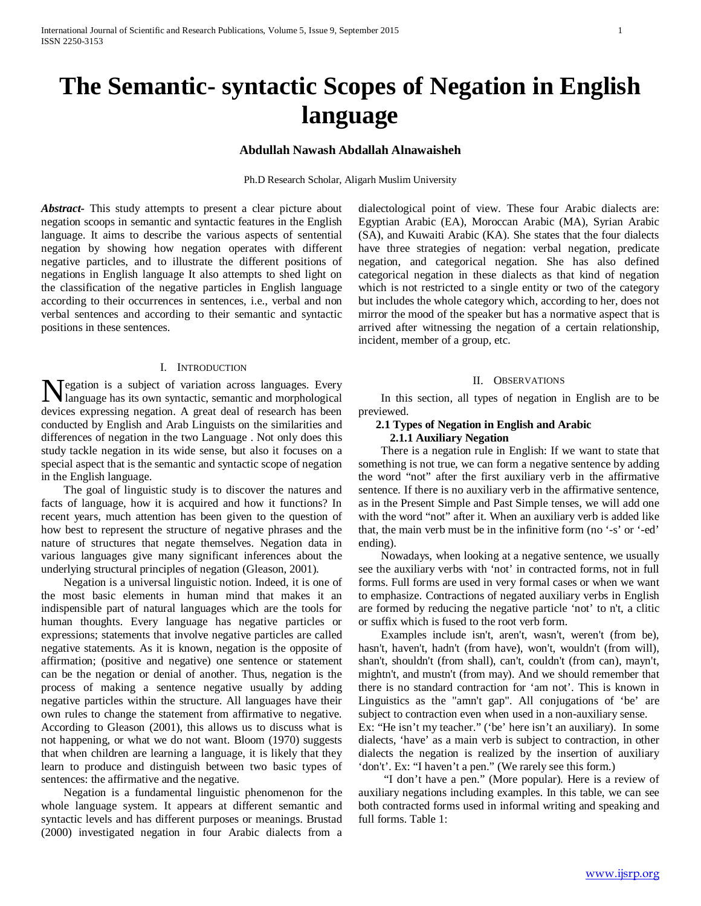# **The Semantic- syntactic Scopes of Negation in English language**

# **Abdullah Nawash Abdallah Alnawaisheh**

Ph.D Research Scholar, Aligarh Muslim University

*Abstract***-** This study attempts to present a clear picture about negation scoops in semantic and syntactic features in the English language. It aims to describe the various aspects of sentential negation by showing how negation operates with different negative particles, and to illustrate the different positions of negations in English language It also attempts to shed light on the classification of the negative particles in English language according to their occurrences in sentences, i.e., verbal and non verbal sentences and according to their semantic and syntactic positions in these sentences.

#### I. INTRODUCTION

egation is a subject of variation across languages. Every Negation is a subject of variation across languages. Every language has its own syntactic, semantic and morphological devices expressing negation. A great deal of research has been conducted by English and Arab Linguists on the similarities and differences of negation in the two Language . Not only does this study tackle negation in its wide sense, but also it focuses on a special aspect that is the semantic and syntactic scope of negation in the English language.

 The goal of linguistic study is to discover the natures and facts of language, how it is acquired and how it functions? In recent years, much attention has been given to the question of how best to represent the structure of negative phrases and the nature of structures that negate themselves. Negation data in various languages give many significant inferences about the underlying structural principles of negation (Gleason, 2001).

 Negation is a universal linguistic notion. Indeed, it is one of the most basic elements in human mind that makes it an indispensible part of natural languages which are the tools for human thoughts. Every language has negative particles or expressions; statements that involve negative particles are called negative statements. As it is known, negation is the opposite of affirmation; (positive and negative) one sentence or statement can be the negation or denial of another. Thus, negation is the process of making a sentence negative usually by adding negative particles within the structure. All languages have their own rules to change the statement from affirmative to negative. According to Gleason (2001), this allows us to discuss what is not happening, or what we do not want. Bloom (1970) suggests that when children are learning a language, it is likely that they learn to produce and distinguish between two basic types of sentences: the affirmative and the negative.

 Negation is a fundamental linguistic phenomenon for the whole language system. It appears at different semantic and syntactic levels and has different purposes or meanings. Brustad (2000) investigated negation in four Arabic dialects from a dialectological point of view. These four Arabic dialects are: Egyptian Arabic (EA), Moroccan Arabic (MA), Syrian Arabic (SA), and Kuwaiti Arabic (KA). She states that the four dialects have three strategies of negation: verbal negation, predicate negation, and categorical negation. She has also defined categorical negation in these dialects as that kind of negation which is not restricted to a single entity or two of the category but includes the whole category which, according to her, does not mirror the mood of the speaker but has a normative aspect that is arrived after witnessing the negation of a certain relationship, incident, member of a group, etc.

#### II. OBSERVATIONS

 In this section, all types of negation in English are to be previewed.

# **2.1 Types of Negation in English and Arabic 2.1.1 Auxiliary Negation**

 There is a negation rule in English: If we want to state that something is not true, we can form a negative sentence by adding the word "not" after the first auxiliary verb in the affirmative sentence. If there is no auxiliary verb in the affirmative sentence, as in the Present Simple and Past Simple tenses, we will add one with the word "not" after it. When an auxiliary verb is added like that, the main verb must be in the infinitive form (no '-s' or '-ed' ending).

 Nowadays, when looking at a negative sentence, we usually see the auxiliary verbs with 'not' in contracted forms, not in full forms. Full forms are used in very formal cases or when we want to emphasize. Contractions of negated auxiliary verbs in English are formed by reducing the negative particle 'not' to n't, a clitic or suffix which is fused to the root verb form.

 Examples include isn't, aren't, wasn't, weren't (from be), hasn't, haven't, hadn't (from have), won't, wouldn't (from will), shan't, shouldn't (from shall), can't, couldn't (from can), mayn't, mightn't, and mustn't (from may). And we should remember that there is no standard contraction for 'am not'. This is known in Linguistics as the "amn't gap". All conjugations of 'be' are subject to contraction even when used in a non-auxiliary sense. Ex: "He isn't my teacher." ('be' here isn't an auxiliary). In some dialects, 'have' as a main verb is subject to contraction, in other

dialects the negation is realized by the insertion of auxiliary 'don't'. Ex: "I haven't a pen." (We rarely see this form.)

 "I don't have a pen." (More popular). Here is a review of auxiliary negations including examples. In this table, we can see both contracted forms used in informal writing and speaking and full forms. Table 1: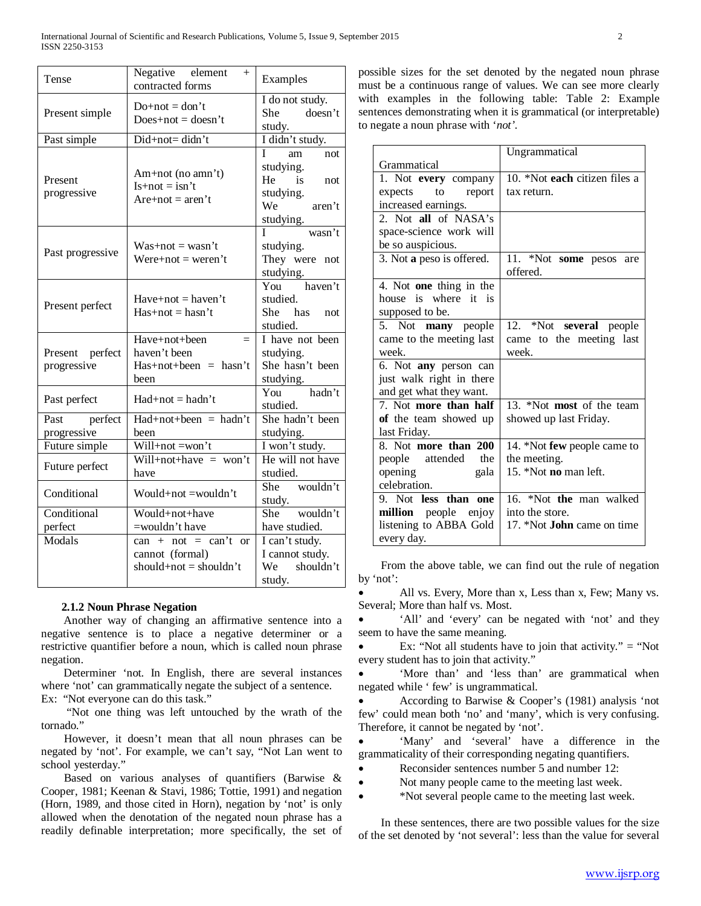| Tense                          | Negative element<br>$+$<br>contracted forms                                 | Examples                                                                                                                                      |
|--------------------------------|-----------------------------------------------------------------------------|-----------------------------------------------------------------------------------------------------------------------------------------------|
| Present simple                 | $Do+not = don't$<br>$Does+not = doesn't$                                    | I do not study.<br>doesn't<br>She<br>study.                                                                                                   |
| Past simple                    | Did+not= didn't                                                             | I didn't study.                                                                                                                               |
| Present<br>progressive         | Am+not (no amn't)<br>$Is+not = isn't$<br>$Are+not = aren't$                 | L<br>am<br>not<br>studying.<br>$\overline{1}$ is not<br>He<br>studying.<br>We aren't<br>$\frac{\text{w}\cdot\text{studying.}}{\text{wasn't}}$ |
| Past progressive               | $Was+not = wasn't$<br>$Were+not = weren't$                                  | studying.<br>They were not<br>studying.                                                                                                       |
| Present perfect                | $Have+not = haven't$<br>$Has+not = hasn't$                                  | You haven't<br>studied.<br>She has not<br>studied.                                                                                            |
| Present perfect<br>progressive | Have+not+been<br>$=$<br>haven't been<br>$Has + not + been = hasn't$<br>been | I have not been<br>studying.<br>She hasn't been<br>studying.<br>You hadn't                                                                    |
| Past perfect                   | $Had+not = hadn't$                                                          | studied.                                                                                                                                      |
| Past perfect<br>progressive    | $Had+not+been = hadn't$<br>heen                                             | She hadn't been<br>studying.                                                                                                                  |
| Future simple                  | $Will+not = won't$                                                          | I won't study.                                                                                                                                |
| Future perfect                 | Will+not+have = won't<br>have                                               | He will not have<br>studied.                                                                                                                  |
| Conditional                    | Would+not =wouldn't                                                         | She wouldn't<br>study.                                                                                                                        |
| Conditional                    | Would+not+have                                                              | She wouldn't                                                                                                                                  |
| perfect                        | =wouldn't have                                                              | have studied.                                                                                                                                 |
| Modals                         | $can + not = can't or$<br>cannot (formal)<br>should+not = shouldn't         | I can't study.<br>I cannot study.<br>We shouldn't<br>study.                                                                                   |

#### **2.1.2 Noun Phrase Negation**

 Another way of changing an affirmative sentence into a negative sentence is to place a negative determiner or a restrictive quantifier before a noun, which is called noun phrase negation.

 Determiner 'not. In English, there are several instances where 'not' can grammatically negate the subject of a sentence.

Ex: "Not everyone can do this task."

 "Not one thing was left untouched by the wrath of the tornado."

 However, it doesn't mean that all noun phrases can be negated by 'not'. For example, we can't say, "Not Lan went to school yesterday."

 Based on various analyses of quantifiers (Barwise & Cooper, 1981; Keenan & Stavi, 1986; Tottie, 1991) and negation (Horn, 1989, and those cited in Horn), negation by 'not' is only allowed when the denotation of the negated noun phrase has a readily definable interpretation; more specifically, the set of possible sizes for the set denoted by the negated noun phrase must be a continuous range of values. We can see more clearly with examples in the following table: Table 2: Example sentences demonstrating when it is grammatical (or interpretable) to negate a noun phrase with '*not'.*

|                                      | Ungrammatical                     |  |
|--------------------------------------|-----------------------------------|--|
| Grammatical                          |                                   |  |
| 1. Not every company                 | 10. *Not each citizen files a     |  |
| expects to<br>report                 | tax return.                       |  |
| increased earnings.                  |                                   |  |
| 2. Not all of NASA's                 |                                   |  |
| space-science work will              |                                   |  |
| be so auspicious.                    |                                   |  |
| 3. Not a peso is offered.            | 11. *Not some pesos are           |  |
|                                      | offered.                          |  |
| 4. Not one thing in the              |                                   |  |
| house is where it is                 |                                   |  |
| supposed to be.                      |                                   |  |
| 5. Not many people                   | 12. *Not several people           |  |
| came to the meeting last             | came to the meeting last          |  |
| week.                                | week.                             |  |
| 6. Not any person can                |                                   |  |
| just walk right in there             |                                   |  |
| and get what they want.              |                                   |  |
| 7. Not more than half                | 13. *Not most of the team         |  |
| of the team showed up                | showed up last Friday.            |  |
| last Friday.                         |                                   |  |
| 8. Not more than 200                 | 14. *Not few people came to       |  |
| people attended<br>the               | the meeting.                      |  |
| opening<br>gala                      | 15. *Not <b>no</b> man left.      |  |
| celebration.                         |                                   |  |
| 9. Not less than one                 | 16. *Not the man walked           |  |
| million people enjoy                 | into the store.                   |  |
| listening to ABBA Gold<br>every day. | 17. *Not <b>John</b> came on time |  |
|                                      |                                   |  |

 From the above table, we can find out the rule of negation by 'not':

All vs. Every, More than x, Less than x, Few; Many vs. Several; More than half vs. Most.

• 'All' and 'every' can be negated with 'not' and they seem to have the same meaning.

• Ex: "Not all students have to join that activity." = "Not every student has to join that activity."

• 'More than' and 'less than' are grammatical when negated while ' few' is ungrammatical.

• According to Barwise & Cooper's (1981) analysis 'not few' could mean both 'no' and 'many', which is very confusing. Therefore, it cannot be negated by 'not'.

• 'Many' and 'several' have a difference in the grammaticality of their corresponding negating quantifiers.

- Reconsider sentences number 5 and number 12:
- Not many people came to the meeting last week.
- \*Not several people came to the meeting last week.

 In these sentences, there are two possible values for the size of the set denoted by 'not several': less than the value for several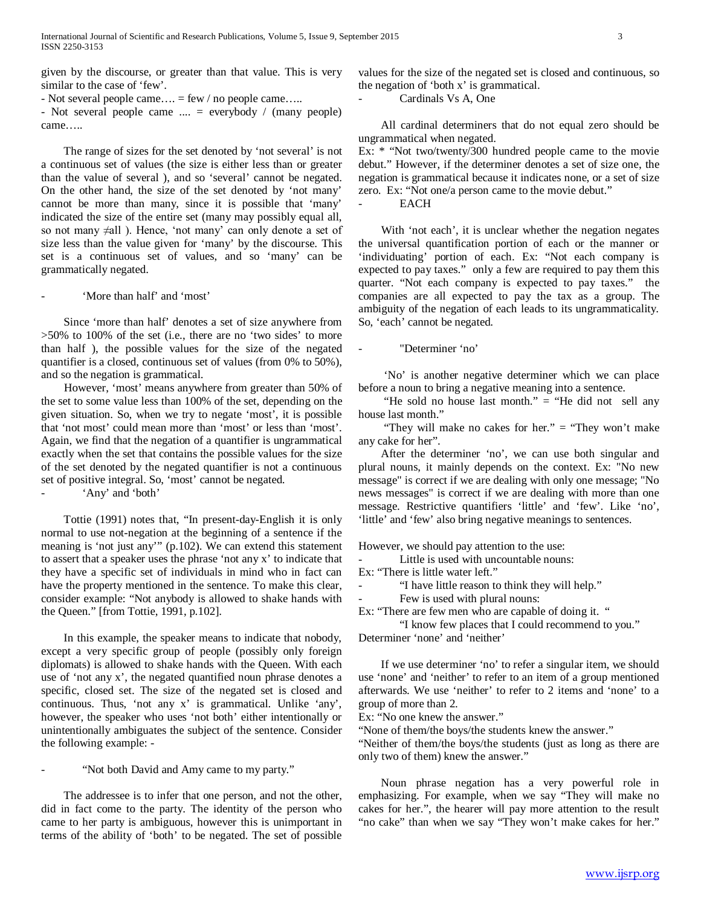given by the discourse, or greater than that value. This is very similar to the case of 'few'.

- Not several people came…. = few / no people came…..

- Not several people came .... = everybody / (many people) came…..

 The range of sizes for the set denoted by 'not several' is not a continuous set of values (the size is either less than or greater than the value of several ), and so 'several' cannot be negated. On the other hand, the size of the set denoted by 'not many' cannot be more than many, since it is possible that 'many' indicated the size of the entire set (many may possibly equal all, so not many ≠all ). Hence, 'not many' can only denote a set of size less than the value given for 'many' by the discourse. This set is a continuous set of values, and so 'many' can be grammatically negated.

- 'More than half' and 'most'

 Since 'more than half' denotes a set of size anywhere from >50% to 100% of the set (i.e., there are no 'two sides' to more than half ), the possible values for the size of the negated quantifier is a closed, continuous set of values (from 0% to 50%), and so the negation is grammatical.

 However, 'most' means anywhere from greater than 50% of the set to some value less than 100% of the set, depending on the given situation. So, when we try to negate 'most', it is possible that 'not most' could mean more than 'most' or less than 'most'. Again, we find that the negation of a quantifier is ungrammatical exactly when the set that contains the possible values for the size of the set denoted by the negated quantifier is not a continuous set of positive integral. So, 'most' cannot be negated.

'Any' and 'both'

 Tottie (1991) notes that, "In present-day-English it is only normal to use not-negation at the beginning of a sentence if the meaning is 'not just any'" (p.102). We can extend this statement to assert that a speaker uses the phrase 'not any x' to indicate that they have a specific set of individuals in mind who in fact can have the property mentioned in the sentence. To make this clear, consider example: "Not anybody is allowed to shake hands with the Queen." [from Tottie, 1991, p.102].

 In this example, the speaker means to indicate that nobody, except a very specific group of people (possibly only foreign diplomats) is allowed to shake hands with the Queen. With each use of 'not any x', the negated quantified noun phrase denotes a specific, closed set. The size of the negated set is closed and continuous. Thus, 'not any x' is grammatical. Unlike 'any', however, the speaker who uses 'not both' either intentionally or unintentionally ambiguates the subject of the sentence. Consider the following example: -

"Not both David and Amy came to my party."

 The addressee is to infer that one person, and not the other, did in fact come to the party. The identity of the person who came to her party is ambiguous, however this is unimportant in terms of the ability of 'both' to be negated. The set of possible

values for the size of the negated set is closed and continuous, so the negation of 'both x' is grammatical.

Cardinals Vs A, One

 All cardinal determiners that do not equal zero should be ungrammatical when negated.

Ex: \* "Not two/twenty/300 hundred people came to the movie debut." However, if the determiner denotes a set of size one, the negation is grammatical because it indicates none, or a set of size zero. Ex: "Not one/a person came to the movie debut." EACH

With 'not each', it is unclear whether the negation negates the universal quantification portion of each or the manner or 'individuating' portion of each. Ex: "Not each company is expected to pay taxes." only a few are required to pay them this quarter. "Not each company is expected to pay taxes." the companies are all expected to pay the tax as a group. The ambiguity of the negation of each leads to its ungrammaticality. So, 'each' cannot be negated.

"Determiner 'no'

 'No' is another negative determiner which we can place before a noun to bring a negative meaning into a sentence.

"He sold no house last month."  $=$  "He did not sell any house last month."

"They will make no cakes for her."  $=$  "They won't make any cake for her".

 After the determiner 'no', we can use both singular and plural nouns, it mainly depends on the context. Ex: "No new message" is correct if we are dealing with only one message; "No news messages" is correct if we are dealing with more than one message. Restrictive quantifiers 'little' and 'few'. Like 'no', 'little' and 'few' also bring negative meanings to sentences.

However, we should pay attention to the use:

Little is used with uncountable nouns:

Ex: "There is little water left."

"I have little reason to think they will help."

Few is used with plural nouns:

Ex: "There are few men who are capable of doing it. "

"I know few places that I could recommend to you." Determiner 'none' and 'neither'

 If we use determiner 'no' to refer a singular item, we should use 'none' and 'neither' to refer to an item of a group mentioned afterwards. We use 'neither' to refer to 2 items and 'none' to a group of more than 2.

Ex: "No one knew the answer."

"None of them/the boys/the students knew the answer."

"Neither of them/the boys/the students (just as long as there are only two of them) knew the answer."

 Noun phrase negation has a very powerful role in emphasizing. For example, when we say "They will make no cakes for her.", the hearer will pay more attention to the result "no cake" than when we say "They won't make cakes for her."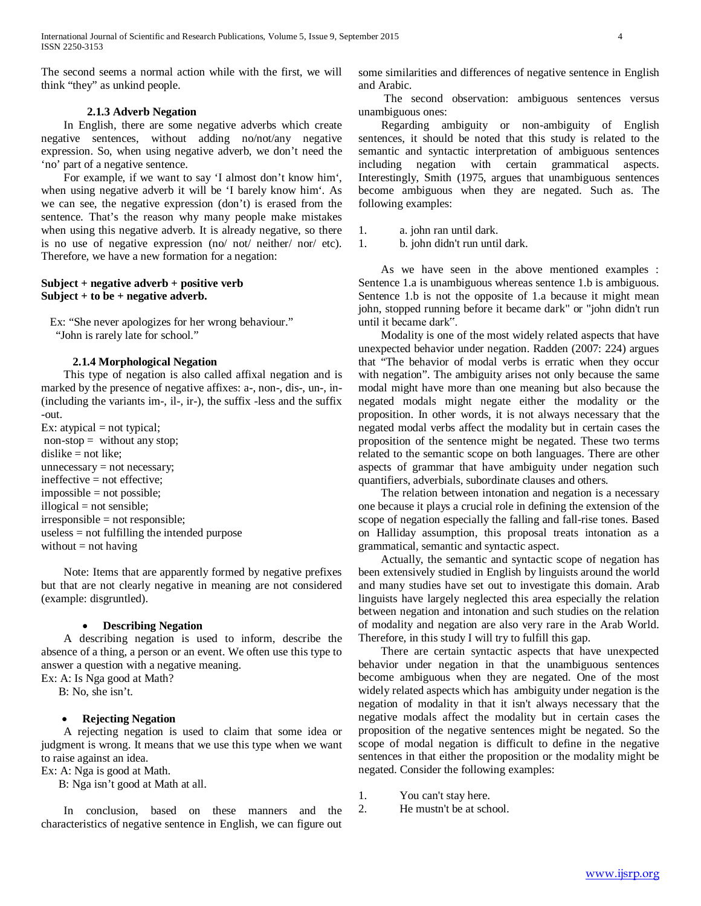The second seems a normal action while with the first, we will think "they" as unkind people.

#### **2.1.3 Adverb Negation**

 In English, there are some negative adverbs which create negative sentences, without adding no/not/any negative expression. So, when using negative adverb, we don't need the 'no' part of a negative sentence.

 For example, if we want to say 'I almost don't know him', when using negative adverb it will be 'I barely know him'. As we can see, the negative expression (don't) is erased from the sentence. That's the reason why many people make mistakes when using this negative adverb. It is already negative, so there is no use of negative expression (no/ not/ neither/ nor/ etc). Therefore, we have a new formation for a negation:

# **Subject + negative adverb + positive verb Subject + to be + negative adverb.**

 Ex: "She never apologizes for her wrong behaviour." "John is rarely late for school."

# **2.1.4 Morphological Negation**

 This type of negation is also called affixal negation and is marked by the presence of negative affixes: a-, non-, dis-, un-, in- (including the variants im-, il-, ir-), the suffix -less and the suffix -out.

Ex: atypical  $=$  not typical;  $non-stop = without any stop;$ dislike  $=$  not like;  $un necessary = not necessary;$ ineffective = not effective;  $impossible = not possible;$ illogical = not sensible; irresponsible = not responsible; useless = not fulfilling the intended purpose without  $=$  not having

 Note: Items that are apparently formed by negative prefixes but that are not clearly negative in meaning are not considered (example: disgruntled).

# • **Describing Negation**

 A describing negation is used to inform, describe the absence of a thing, a person or an event. We often use this type to answer a question with a negative meaning.

Ex: A: Is Nga good at Math?

B: No, she isn't.

# • **Rejecting Negation**

 A rejecting negation is used to claim that some idea or judgment is wrong. It means that we use this type when we want to raise against an idea.

Ex: A: Nga is good at Math.

B: Nga isn't good at Math at all.

 In conclusion, based on these manners and the characteristics of negative sentence in English, we can figure out

some similarities and differences of negative sentence in English and Arabic.

 The second observation: ambiguous sentences versus unambiguous ones:

 Regarding ambiguity or non-ambiguity of English sentences, it should be noted that this study is related to the semantic and syntactic interpretation of ambiguous sentences including negation with certain grammatical aspects. Interestingly, Smith (1975, argues that unambiguous sentences become ambiguous when they are negated. Such as. The following examples:

1. a. john ran until dark.

1. b. john didn't run until dark.

 As we have seen in the above mentioned examples : Sentence 1.a is unambiguous whereas sentence 1.b is ambiguous. Sentence 1.b is not the opposite of 1.a because it might mean john, stopped running before it became dark" or "john didn't run until it became dark".

 Modality is one of the most widely related aspects that have unexpected behavior under negation. Radden (2007: 224) argues that "The behavior of modal verbs is erratic when they occur with negation". The ambiguity arises not only because the same modal might have more than one meaning but also because the negated modals might negate either the modality or the proposition. In other words, it is not always necessary that the negated modal verbs affect the modality but in certain cases the proposition of the sentence might be negated. These two terms related to the semantic scope on both languages. There are other aspects of grammar that have ambiguity under negation such quantifiers, adverbials, subordinate clauses and others.

 The relation between intonation and negation is a necessary one because it plays a crucial role in defining the extension of the scope of negation especially the falling and fall-rise tones. Based on Halliday assumption, this proposal treats intonation as a grammatical, semantic and syntactic aspect.

 Actually, the semantic and syntactic scope of negation has been extensively studied in English by linguists around the world and many studies have set out to investigate this domain. Arab linguists have largely neglected this area especially the relation between negation and intonation and such studies on the relation of modality and negation are also very rare in the Arab World. Therefore, in this study I will try to fulfill this gap.

 There are certain syntactic aspects that have unexpected behavior under negation in that the unambiguous sentences become ambiguous when they are negated. One of the most widely related aspects which has ambiguity under negation is the negation of modality in that it isn't always necessary that the negative modals affect the modality but in certain cases the proposition of the negative sentences might be negated. So the scope of modal negation is difficult to define in the negative sentences in that either the proposition or the modality might be negated. Consider the following examples:

1. You can't stay here.

2. He mustn't be at school.